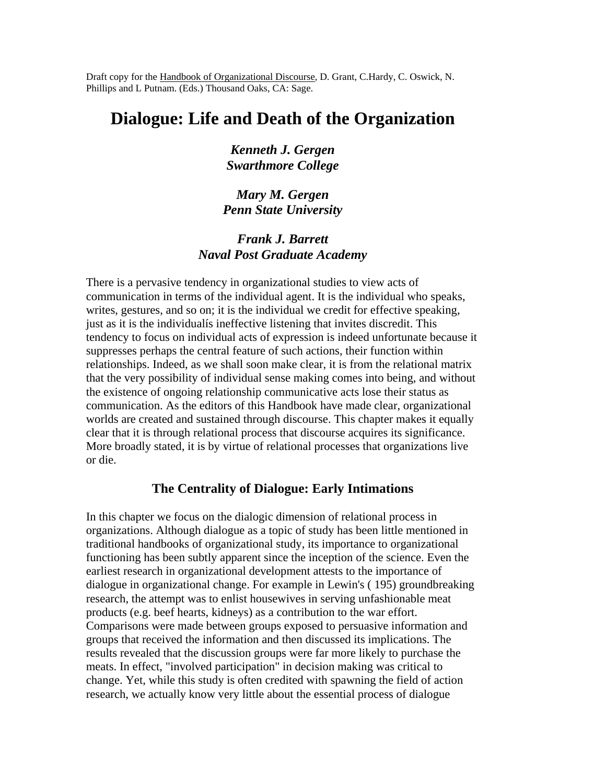Draft copy for the Handbook of Organizational Discourse, D. Grant, C.Hardy, C. Oswick, N. Phillips and L Putnam. (Eds.) Thousand Oaks, CA: Sage.

# **Dialogue: Life and Death of the Organization**

*Kenneth J. Gergen Swarthmore College*

*Mary M. Gergen Penn State University*

# *Frank J. Barrett Naval Post Graduate Academy*

There is a pervasive tendency in organizational studies to view acts of communication in terms of the individual agent. It is the individual who speaks, writes, gestures, and so on; it is the individual we credit for effective speaking, just as it is the individualís ineffective listening that invites discredit. This tendency to focus on individual acts of expression is indeed unfortunate because it suppresses perhaps the central feature of such actions, their function within relationships. Indeed, as we shall soon make clear, it is from the relational matrix that the very possibility of individual sense making comes into being, and without the existence of ongoing relationship communicative acts lose their status as communication. As the editors of this Handbook have made clear, organizational worlds are created and sustained through discourse. This chapter makes it equally clear that it is through relational process that discourse acquires its significance. More broadly stated, it is by virtue of relational processes that organizations live or die.

## **The Centrality of Dialogue: Early Intimations**

In this chapter we focus on the dialogic dimension of relational process in organizations. Although dialogue as a topic of study has been little mentioned in traditional handbooks of organizational study, its importance to organizational functioning has been subtly apparent since the inception of the science. Even the earliest research in organizational development attests to the importance of dialogue in organizational change. For example in Lewin's ( 195) groundbreaking research, the attempt was to enlist housewives in serving unfashionable meat products (e.g. beef hearts, kidneys) as a contribution to the war effort. Comparisons were made between groups exposed to persuasive information and groups that received the information and then discussed its implications. The results revealed that the discussion groups were far more likely to purchase the meats. In effect, "involved participation" in decision making was critical to change. Yet, while this study is often credited with spawning the field of action research, we actually know very little about the essential process of dialogue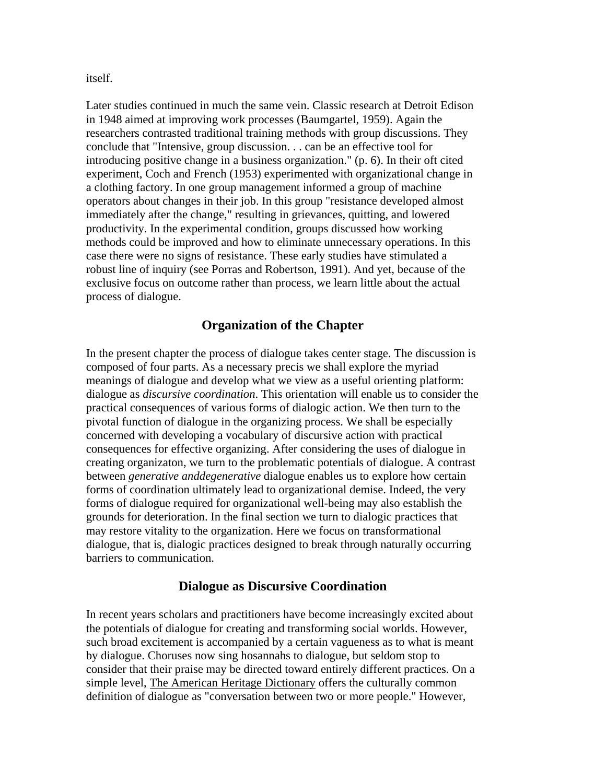itself.

Later studies continued in much the same vein. Classic research at Detroit Edison in 1948 aimed at improving work processes (Baumgartel, 1959). Again the researchers contrasted traditional training methods with group discussions. They conclude that "Intensive, group discussion. . . can be an effective tool for introducing positive change in a business organization." (p. 6). In their oft cited experiment, Coch and French (1953) experimented with organizational change in a clothing factory. In one group management informed a group of machine operators about changes in their job. In this group "resistance developed almost immediately after the change," resulting in grievances, quitting, and lowered productivity. In the experimental condition, groups discussed how working methods could be improved and how to eliminate unnecessary operations. In this case there were no signs of resistance. These early studies have stimulated a robust line of inquiry (see Porras and Robertson, 1991). And yet, because of the exclusive focus on outcome rather than process, we learn little about the actual process of dialogue.

# **Organization of the Chapter**

In the present chapter the process of dialogue takes center stage. The discussion is composed of four parts. As a necessary precis we shall explore the myriad meanings of dialogue and develop what we view as a useful orienting platform: dialogue as *discursive coordination*. This orientation will enable us to consider the practical consequences of various forms of dialogic action. We then turn to the pivotal function of dialogue in the organizing process. We shall be especially concerned with developing a vocabulary of discursive action with practical consequences for effective organizing. After considering the uses of dialogue in creating organizaton, we turn to the problematic potentials of dialogue. A contrast between *generative anddegenerative* dialogue enables us to explore how certain forms of coordination ultimately lead to organizational demise. Indeed, the very forms of dialogue required for organizational well-being may also establish the grounds for deterioration. In the final section we turn to dialogic practices that may restore vitality to the organization. Here we focus on transformational dialogue, that is, dialogic practices designed to break through naturally occurring barriers to communication.

# **Dialogue as Discursive Coordination**

In recent years scholars and practitioners have become increasingly excited about the potentials of dialogue for creating and transforming social worlds. However, such broad excitement is accompanied by a certain vagueness as to what is meant by dialogue. Choruses now sing hosannahs to dialogue, but seldom stop to consider that their praise may be directed toward entirely different practices. On a simple level, The American Heritage Dictionary offers the culturally common definition of dialogue as "conversation between two or more people." However,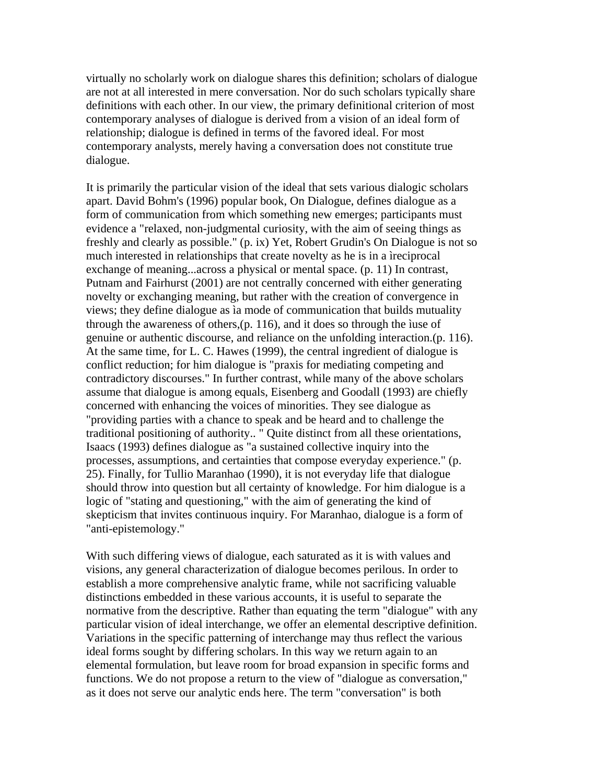virtually no scholarly work on dialogue shares this definition; scholars of dialogue are not at all interested in mere conversation. Nor do such scholars typically share definitions with each other. In our view, the primary definitional criterion of most contemporary analyses of dialogue is derived from a vision of an ideal form of relationship; dialogue is defined in terms of the favored ideal. For most contemporary analysts, merely having a conversation does not constitute true dialogue.

It is primarily the particular vision of the ideal that sets various dialogic scholars apart. David Bohm's (1996) popular book, On Dialogue, defines dialogue as a form of communication from which something new emerges; participants must evidence a "relaxed, non-judgmental curiosity, with the aim of seeing things as freshly and clearly as possible." (p. ix) Yet, Robert Grudin's On Dialogue is not so much interested in relationships that create novelty as he is in a ìreciprocal exchange of meaning...across a physical or mental space. (p. 11) In contrast, Putnam and Fairhurst (2001) are not centrally concerned with either generating novelty or exchanging meaning, but rather with the creation of convergence in views; they define dialogue as ìa mode of communication that builds mutuality through the awareness of others,(p. 116), and it does so through the ìuse of genuine or authentic discourse, and reliance on the unfolding interaction.(p. 116). At the same time, for L. C. Hawes (1999), the central ingredient of dialogue is conflict reduction; for him dialogue is "praxis for mediating competing and contradictory discourses." In further contrast, while many of the above scholars assume that dialogue is among equals, Eisenberg and Goodall (1993) are chiefly concerned with enhancing the voices of minorities. They see dialogue as "providing parties with a chance to speak and be heard and to challenge the traditional positioning of authority.. " Quite distinct from all these orientations, Isaacs (1993) defines dialogue as "a sustained collective inquiry into the processes, assumptions, and certainties that compose everyday experience." (p. 25). Finally, for Tullio Maranhao (1990), it is not everyday life that dialogue should throw into question but all certainty of knowledge. For him dialogue is a logic of "stating and questioning," with the aim of generating the kind of skepticism that invites continuous inquiry. For Maranhao, dialogue is a form of "anti-epistemology."

With such differing views of dialogue, each saturated as it is with values and visions, any general characterization of dialogue becomes perilous. In order to establish a more comprehensive analytic frame, while not sacrificing valuable distinctions embedded in these various accounts, it is useful to separate the normative from the descriptive. Rather than equating the term "dialogue" with any particular vision of ideal interchange, we offer an elemental descriptive definition. Variations in the specific patterning of interchange may thus reflect the various ideal forms sought by differing scholars. In this way we return again to an elemental formulation, but leave room for broad expansion in specific forms and functions. We do not propose a return to the view of "dialogue as conversation," as it does not serve our analytic ends here. The term "conversation" is both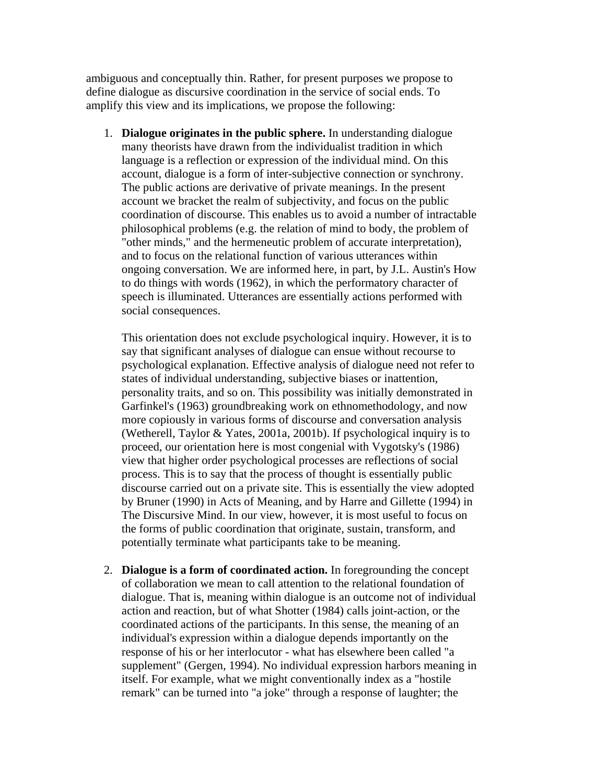ambiguous and conceptually thin. Rather, for present purposes we propose to define dialogue as discursive coordination in the service of social ends. To amplify this view and its implications, we propose the following:

1. **Dialogue originates in the public sphere.** In understanding dialogue many theorists have drawn from the individualist tradition in which language is a reflection or expression of the individual mind. On this account, dialogue is a form of inter-subjective connection or synchrony. The public actions are derivative of private meanings. In the present account we bracket the realm of subjectivity, and focus on the public coordination of discourse. This enables us to avoid a number of intractable philosophical problems (e.g. the relation of mind to body, the problem of "other minds," and the hermeneutic problem of accurate interpretation), and to focus on the relational function of various utterances within ongoing conversation. We are informed here, in part, by J.L. Austin's How to do things with words (1962), in which the performatory character of speech is illuminated. Utterances are essentially actions performed with social consequences.

This orientation does not exclude psychological inquiry. However, it is to say that significant analyses of dialogue can ensue without recourse to psychological explanation. Effective analysis of dialogue need not refer to states of individual understanding, subjective biases or inattention, personality traits, and so on. This possibility was initially demonstrated in Garfinkel's (1963) groundbreaking work on ethnomethodology, and now more copiously in various forms of discourse and conversation analysis (Wetherell, Taylor & Yates, 2001a, 2001b). If psychological inquiry is to proceed, our orientation here is most congenial with Vygotsky's (1986) view that higher order psychological processes are reflections of social process. This is to say that the process of thought is essentially public discourse carried out on a private site. This is essentially the view adopted by Bruner (1990) in Acts of Meaning, and by Harre and Gillette (1994) in The Discursive Mind. In our view, however, it is most useful to focus on the forms of public coordination that originate, sustain, transform, and potentially terminate what participants take to be meaning.

2. **Dialogue is a form of coordinated action.** In foregrounding the concept of collaboration we mean to call attention to the relational foundation of dialogue. That is, meaning within dialogue is an outcome not of individual action and reaction, but of what Shotter (1984) calls joint-action, or the coordinated actions of the participants. In this sense, the meaning of an individual's expression within a dialogue depends importantly on the response of his or her interlocutor - what has elsewhere been called "a supplement" (Gergen, 1994). No individual expression harbors meaning in itself. For example, what we might conventionally index as a "hostile remark" can be turned into "a joke" through a response of laughter; the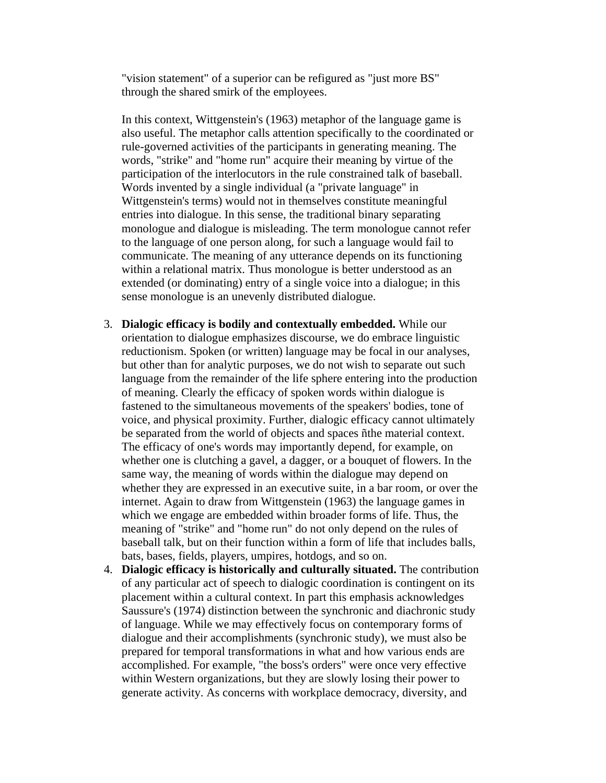"vision statement" of a superior can be refigured as "just more BS" through the shared smirk of the employees.

In this context, Wittgenstein's (1963) metaphor of the language game is also useful. The metaphor calls attention specifically to the coordinated or rule-governed activities of the participants in generating meaning. The words, "strike" and "home run" acquire their meaning by virtue of the participation of the interlocutors in the rule constrained talk of baseball. Words invented by a single individual (a "private language" in Wittgenstein's terms) would not in themselves constitute meaningful entries into dialogue. In this sense, the traditional binary separating monologue and dialogue is misleading. The term monologue cannot refer to the language of one person along, for such a language would fail to communicate. The meaning of any utterance depends on its functioning within a relational matrix. Thus monologue is better understood as an extended (or dominating) entry of a single voice into a dialogue; in this sense monologue is an unevenly distributed dialogue.

- 3. **Dialogic efficacy is bodily and contextually embedded.** While our orientation to dialogue emphasizes discourse, we do embrace linguistic reductionism. Spoken (or written) language may be focal in our analyses, but other than for analytic purposes, we do not wish to separate out such language from the remainder of the life sphere entering into the production of meaning. Clearly the efficacy of spoken words within dialogue is fastened to the simultaneous movements of the speakers' bodies, tone of voice, and physical proximity. Further, dialogic efficacy cannot ultimately be separated from the world of objects and spaces ñthe material context. The efficacy of one's words may importantly depend, for example, on whether one is clutching a gavel, a dagger, or a bouquet of flowers. In the same way, the meaning of words within the dialogue may depend on whether they are expressed in an executive suite, in a bar room, or over the internet. Again to draw from Wittgenstein (1963) the language games in which we engage are embedded within broader forms of life. Thus, the meaning of "strike" and "home run" do not only depend on the rules of baseball talk, but on their function within a form of life that includes balls, bats, bases, fields, players, umpires, hotdogs, and so on.
- 4. **Dialogic efficacy is historically and culturally situated.** The contribution of any particular act of speech to dialogic coordination is contingent on its placement within a cultural context. In part this emphasis acknowledges Saussure's (1974) distinction between the synchronic and diachronic study of language. While we may effectively focus on contemporary forms of dialogue and their accomplishments (synchronic study), we must also be prepared for temporal transformations in what and how various ends are accomplished. For example, "the boss's orders" were once very effective within Western organizations, but they are slowly losing their power to generate activity. As concerns with workplace democracy, diversity, and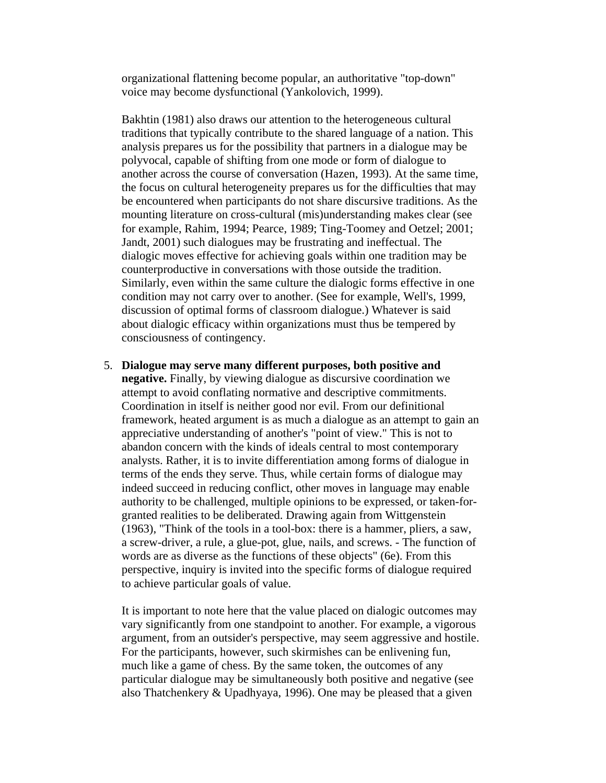organizational flattening become popular, an authoritative "top-down" voice may become dysfunctional (Yankolovich, 1999).

Bakhtin (1981) also draws our attention to the heterogeneous cultural traditions that typically contribute to the shared language of a nation. This analysis prepares us for the possibility that partners in a dialogue may be polyvocal, capable of shifting from one mode or form of dialogue to another across the course of conversation (Hazen, 1993). At the same time, the focus on cultural heterogeneity prepares us for the difficulties that may be encountered when participants do not share discursive traditions. As the mounting literature on cross-cultural (mis)understanding makes clear (see for example, Rahim, 1994; Pearce, 1989; Ting-Toomey and Oetzel; 2001; Jandt, 2001) such dialogues may be frustrating and ineffectual. The dialogic moves effective for achieving goals within one tradition may be counterproductive in conversations with those outside the tradition. Similarly, even within the same culture the dialogic forms effective in one condition may not carry over to another. (See for example, Well's, 1999, discussion of optimal forms of classroom dialogue.) Whatever is said about dialogic efficacy within organizations must thus be tempered by consciousness of contingency.

5. **Dialogue may serve many different purposes, both positive and negative.** Finally, by viewing dialogue as discursive coordination we attempt to avoid conflating normative and descriptive commitments. Coordination in itself is neither good nor evil. From our definitional framework, heated argument is as much a dialogue as an attempt to gain an appreciative understanding of another's "point of view." This is not to abandon concern with the kinds of ideals central to most contemporary analysts. Rather, it is to invite differentiation among forms of dialogue in terms of the ends they serve. Thus, while certain forms of dialogue may indeed succeed in reducing conflict, other moves in language may enable authority to be challenged, multiple opinions to be expressed, or taken-forgranted realities to be deliberated. Drawing again from Wittgenstein (1963), "Think of the tools in a tool-box: there is a hammer, pliers, a saw, a screw-driver, a rule, a glue-pot, glue, nails, and screws. - The function of words are as diverse as the functions of these objects" (6e). From this perspective, inquiry is invited into the specific forms of dialogue required to achieve particular goals of value.

It is important to note here that the value placed on dialogic outcomes may vary significantly from one standpoint to another. For example, a vigorous argument, from an outsider's perspective, may seem aggressive and hostile. For the participants, however, such skirmishes can be enlivening fun, much like a game of chess. By the same token, the outcomes of any particular dialogue may be simultaneously both positive and negative (see also Thatchenkery & Upadhyaya, 1996). One may be pleased that a given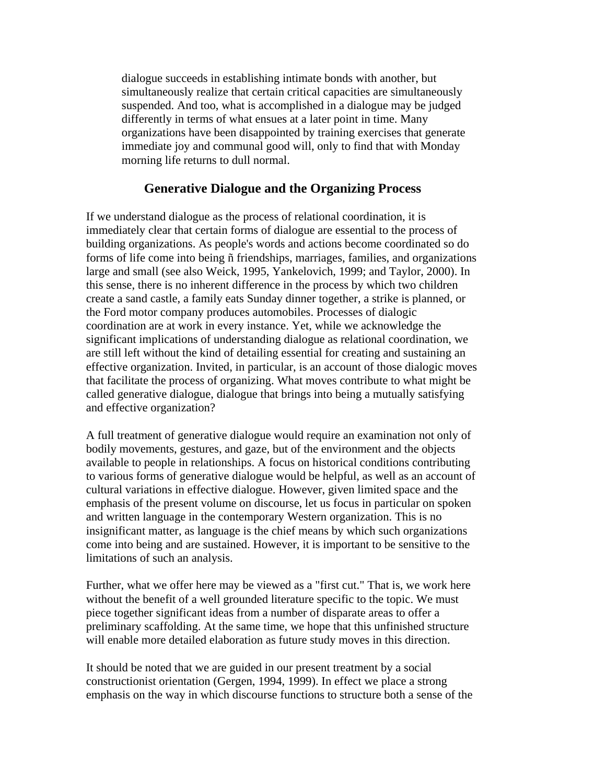dialogue succeeds in establishing intimate bonds with another, but simultaneously realize that certain critical capacities are simultaneously suspended. And too, what is accomplished in a dialogue may be judged differently in terms of what ensues at a later point in time. Many organizations have been disappointed by training exercises that generate immediate joy and communal good will, only to find that with Monday morning life returns to dull normal.

# **Generative Dialogue and the Organizing Process**

If we understand dialogue as the process of relational coordination, it is immediately clear that certain forms of dialogue are essential to the process of building organizations. As people's words and actions become coordinated so do forms of life come into being ñ friendships, marriages, families, and organizations large and small (see also Weick, 1995, Yankelovich, 1999; and Taylor, 2000). In this sense, there is no inherent difference in the process by which two children create a sand castle, a family eats Sunday dinner together, a strike is planned, or the Ford motor company produces automobiles. Processes of dialogic coordination are at work in every instance. Yet, while we acknowledge the significant implications of understanding dialogue as relational coordination, we are still left without the kind of detailing essential for creating and sustaining an effective organization. Invited, in particular, is an account of those dialogic moves that facilitate the process of organizing. What moves contribute to what might be called generative dialogue, dialogue that brings into being a mutually satisfying and effective organization?

A full treatment of generative dialogue would require an examination not only of bodily movements, gestures, and gaze, but of the environment and the objects available to people in relationships. A focus on historical conditions contributing to various forms of generative dialogue would be helpful, as well as an account of cultural variations in effective dialogue. However, given limited space and the emphasis of the present volume on discourse, let us focus in particular on spoken and written language in the contemporary Western organization. This is no insignificant matter, as language is the chief means by which such organizations come into being and are sustained. However, it is important to be sensitive to the limitations of such an analysis.

Further, what we offer here may be viewed as a "first cut." That is, we work here without the benefit of a well grounded literature specific to the topic. We must piece together significant ideas from a number of disparate areas to offer a preliminary scaffolding. At the same time, we hope that this unfinished structure will enable more detailed elaboration as future study moves in this direction.

It should be noted that we are guided in our present treatment by a social constructionist orientation (Gergen, 1994, 1999). In effect we place a strong emphasis on the way in which discourse functions to structure both a sense of the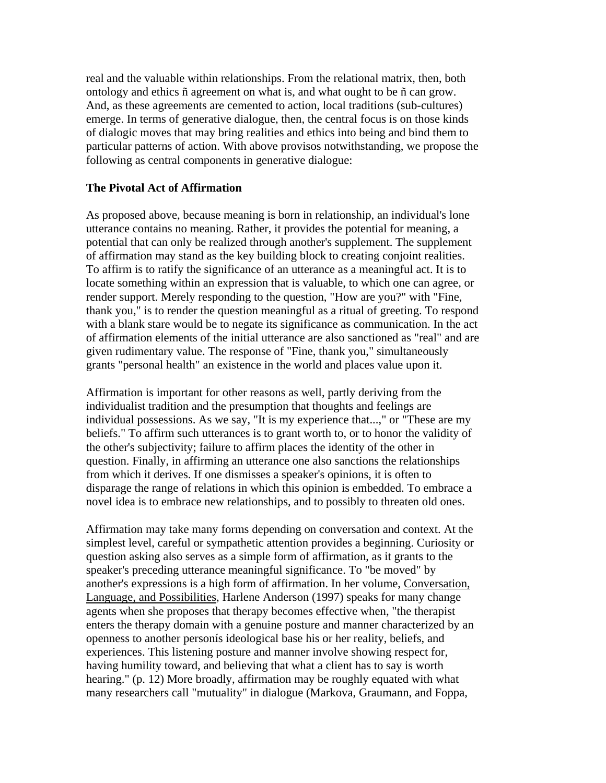real and the valuable within relationships. From the relational matrix, then, both ontology and ethics ñ agreement on what is, and what ought to be ñ can grow. And, as these agreements are cemented to action, local traditions (sub-cultures) emerge. In terms of generative dialogue, then, the central focus is on those kinds of dialogic moves that may bring realities and ethics into being and bind them to particular patterns of action. With above provisos notwithstanding, we propose the following as central components in generative dialogue:

### **The Pivotal Act of Affirmation**

As proposed above, because meaning is born in relationship, an individual's lone utterance contains no meaning. Rather, it provides the potential for meaning, a potential that can only be realized through another's supplement. The supplement of affirmation may stand as the key building block to creating conjoint realities. To affirm is to ratify the significance of an utterance as a meaningful act. It is to locate something within an expression that is valuable, to which one can agree, or render support. Merely responding to the question, "How are you?" with "Fine, thank you," is to render the question meaningful as a ritual of greeting. To respond with a blank stare would be to negate its significance as communication. In the act of affirmation elements of the initial utterance are also sanctioned as "real" and are given rudimentary value. The response of "Fine, thank you," simultaneously grants "personal health" an existence in the world and places value upon it.

Affirmation is important for other reasons as well, partly deriving from the individualist tradition and the presumption that thoughts and feelings are individual possessions. As we say, "It is my experience that...," or "These are my beliefs." To affirm such utterances is to grant worth to, or to honor the validity of the other's subjectivity; failure to affirm places the identity of the other in question. Finally, in affirming an utterance one also sanctions the relationships from which it derives. If one dismisses a speaker's opinions, it is often to disparage the range of relations in which this opinion is embedded. To embrace a novel idea is to embrace new relationships, and to possibly to threaten old ones.

Affirmation may take many forms depending on conversation and context. At the simplest level, careful or sympathetic attention provides a beginning. Curiosity or question asking also serves as a simple form of affirmation, as it grants to the speaker's preceding utterance meaningful significance. To "be moved" by another's expressions is a high form of affirmation. In her volume, Conversation, Language, and Possibilities, Harlene Anderson (1997) speaks for many change agents when she proposes that therapy becomes effective when, "the therapist enters the therapy domain with a genuine posture and manner characterized by an openness to another personís ideological base his or her reality, beliefs, and experiences. This listening posture and manner involve showing respect for, having humility toward, and believing that what a client has to say is worth hearing." (p. 12) More broadly, affirmation may be roughly equated with what many researchers call "mutuality" in dialogue (Markova, Graumann, and Foppa,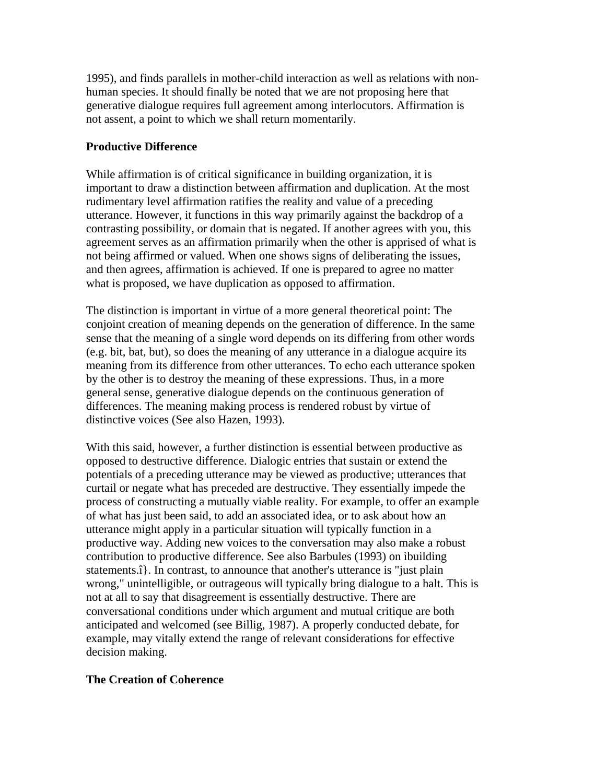1995), and finds parallels in mother-child interaction as well as relations with nonhuman species. It should finally be noted that we are not proposing here that generative dialogue requires full agreement among interlocutors. Affirmation is not assent, a point to which we shall return momentarily.

#### **Productive Difference**

While affirmation is of critical significance in building organization, it is important to draw a distinction between affirmation and duplication. At the most rudimentary level affirmation ratifies the reality and value of a preceding utterance. However, it functions in this way primarily against the backdrop of a contrasting possibility, or domain that is negated. If another agrees with you, this agreement serves as an affirmation primarily when the other is apprised of what is not being affirmed or valued. When one shows signs of deliberating the issues, and then agrees, affirmation is achieved. If one is prepared to agree no matter what is proposed, we have duplication as opposed to affirmation.

The distinction is important in virtue of a more general theoretical point: The conjoint creation of meaning depends on the generation of difference. In the same sense that the meaning of a single word depends on its differing from other words (e.g. bit, bat, but), so does the meaning of any utterance in a dialogue acquire its meaning from its difference from other utterances. To echo each utterance spoken by the other is to destroy the meaning of these expressions. Thus, in a more general sense, generative dialogue depends on the continuous generation of differences. The meaning making process is rendered robust by virtue of distinctive voices (See also Hazen, 1993).

With this said, however, a further distinction is essential between productive as opposed to destructive difference. Dialogic entries that sustain or extend the potentials of a preceding utterance may be viewed as productive; utterances that curtail or negate what has preceded are destructive. They essentially impede the process of constructing a mutually viable reality. For example, to offer an example of what has just been said, to add an associated idea, or to ask about how an utterance might apply in a particular situation will typically function in a productive way. Adding new voices to the conversation may also make a robust contribution to productive difference. See also Barbules (1993) on ìbuilding statements.î}. In contrast, to announce that another's utterance is "just plain wrong," unintelligible, or outrageous will typically bring dialogue to a halt. This is not at all to say that disagreement is essentially destructive. There are conversational conditions under which argument and mutual critique are both anticipated and welcomed (see Billig, 1987). A properly conducted debate, for example, may vitally extend the range of relevant considerations for effective decision making.

## **The Creation of Coherence**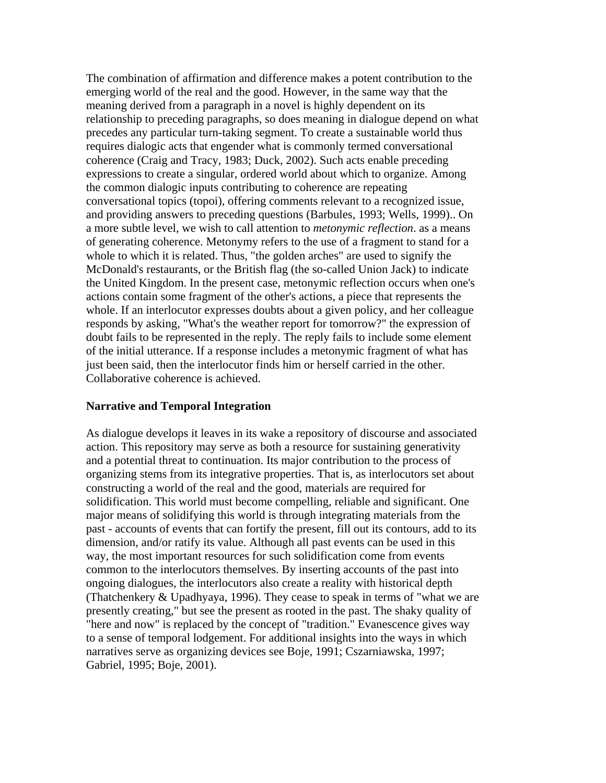The combination of affirmation and difference makes a potent contribution to the emerging world of the real and the good. However, in the same way that the meaning derived from a paragraph in a novel is highly dependent on its relationship to preceding paragraphs, so does meaning in dialogue depend on what precedes any particular turn-taking segment. To create a sustainable world thus requires dialogic acts that engender what is commonly termed conversational coherence (Craig and Tracy, 1983; Duck, 2002). Such acts enable preceding expressions to create a singular, ordered world about which to organize. Among the common dialogic inputs contributing to coherence are repeating conversational topics (topoi), offering comments relevant to a recognized issue, and providing answers to preceding questions (Barbules, 1993; Wells, 1999).. On a more subtle level, we wish to call attention to *metonymic reflection*. as a means of generating coherence. Metonymy refers to the use of a fragment to stand for a whole to which it is related. Thus, "the golden arches" are used to signify the McDonald's restaurants, or the British flag (the so-called Union Jack) to indicate the United Kingdom. In the present case, metonymic reflection occurs when one's actions contain some fragment of the other's actions, a piece that represents the whole. If an interlocutor expresses doubts about a given policy, and her colleague responds by asking, "What's the weather report for tomorrow?" the expression of doubt fails to be represented in the reply. The reply fails to include some element of the initial utterance. If a response includes a metonymic fragment of what has just been said, then the interlocutor finds him or herself carried in the other. Collaborative coherence is achieved.

#### **Narrative and Temporal Integration**

As dialogue develops it leaves in its wake a repository of discourse and associated action. This repository may serve as both a resource for sustaining generativity and a potential threat to continuation. Its major contribution to the process of organizing stems from its integrative properties. That is, as interlocutors set about constructing a world of the real and the good, materials are required for solidification. This world must become compelling, reliable and significant. One major means of solidifying this world is through integrating materials from the past - accounts of events that can fortify the present, fill out its contours, add to its dimension, and/or ratify its value. Although all past events can be used in this way, the most important resources for such solidification come from events common to the interlocutors themselves. By inserting accounts of the past into ongoing dialogues, the interlocutors also create a reality with historical depth (Thatchenkery & Upadhyaya, 1996). They cease to speak in terms of "what we are presently creating," but see the present as rooted in the past. The shaky quality of "here and now" is replaced by the concept of "tradition." Evanescence gives way to a sense of temporal lodgement. For additional insights into the ways in which narratives serve as organizing devices see Boje, 1991; Cszarniawska, 1997; Gabriel, 1995; Boje, 2001).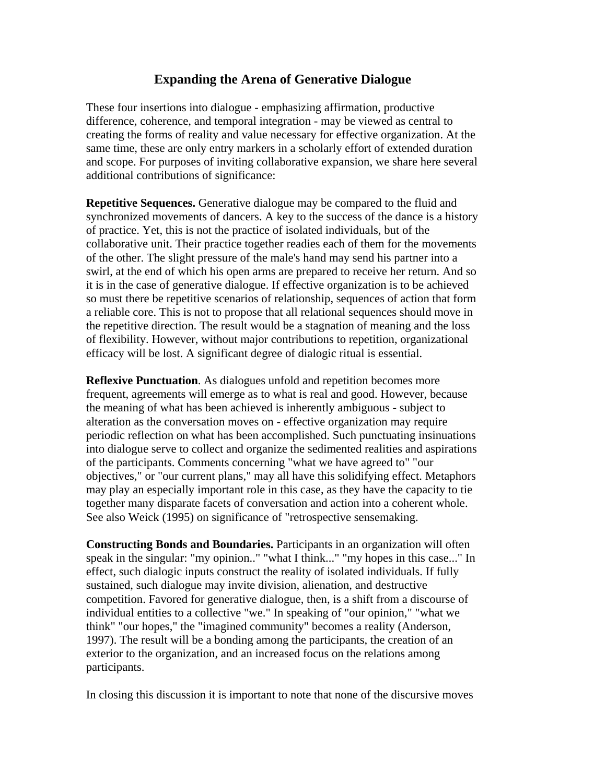# **Expanding the Arena of Generative Dialogue**

These four insertions into dialogue - emphasizing affirmation, productive difference, coherence, and temporal integration - may be viewed as central to creating the forms of reality and value necessary for effective organization. At the same time, these are only entry markers in a scholarly effort of extended duration and scope. For purposes of inviting collaborative expansion, we share here several additional contributions of significance:

**Repetitive Sequences.** Generative dialogue may be compared to the fluid and synchronized movements of dancers. A key to the success of the dance is a history of practice. Yet, this is not the practice of isolated individuals, but of the collaborative unit. Their practice together readies each of them for the movements of the other. The slight pressure of the male's hand may send his partner into a swirl, at the end of which his open arms are prepared to receive her return. And so it is in the case of generative dialogue. If effective organization is to be achieved so must there be repetitive scenarios of relationship, sequences of action that form a reliable core. This is not to propose that all relational sequences should move in the repetitive direction. The result would be a stagnation of meaning and the loss of flexibility. However, without major contributions to repetition, organizational efficacy will be lost. A significant degree of dialogic ritual is essential.

**Reflexive Punctuation.** As dialogues unfold and repetition becomes more frequent, agreements will emerge as to what is real and good. However, because the meaning of what has been achieved is inherently ambiguous - subject to alteration as the conversation moves on - effective organization may require periodic reflection on what has been accomplished. Such punctuating insinuations into dialogue serve to collect and organize the sedimented realities and aspirations of the participants. Comments concerning "what we have agreed to" "our objectives," or "our current plans," may all have this solidifying effect. Metaphors may play an especially important role in this case, as they have the capacity to tie together many disparate facets of conversation and action into a coherent whole. See also Weick (1995) on significance of "retrospective sensemaking.

**Constructing Bonds and Boundaries.** Participants in an organization will often speak in the singular: "my opinion.." "what I think..." "my hopes in this case..." In effect, such dialogic inputs construct the reality of isolated individuals. If fully sustained, such dialogue may invite division, alienation, and destructive competition. Favored for generative dialogue, then, is a shift from a discourse of individual entities to a collective "we." In speaking of "our opinion," "what we think" "our hopes," the "imagined community" becomes a reality (Anderson, 1997). The result will be a bonding among the participants, the creation of an exterior to the organization, and an increased focus on the relations among participants.

In closing this discussion it is important to note that none of the discursive moves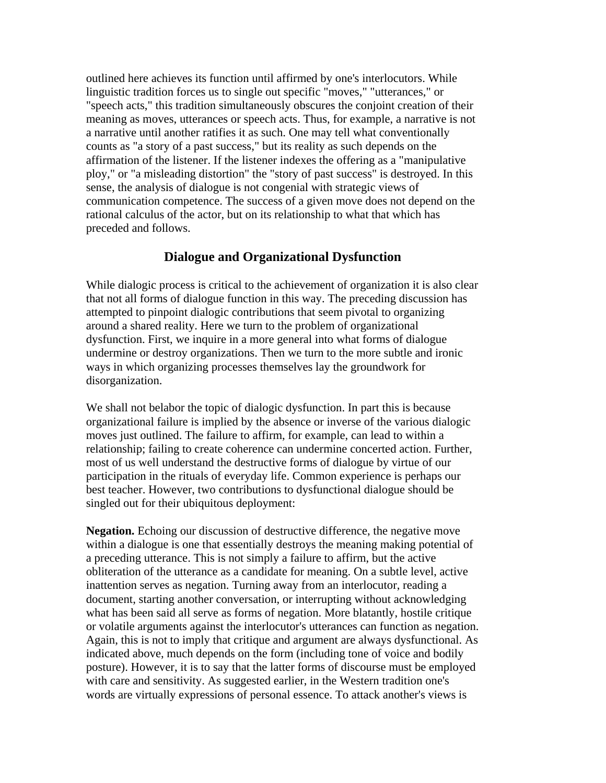outlined here achieves its function until affirmed by one's interlocutors. While linguistic tradition forces us to single out specific "moves," "utterances," or "speech acts," this tradition simultaneously obscures the conjoint creation of their meaning as moves, utterances or speech acts. Thus, for example, a narrative is not a narrative until another ratifies it as such. One may tell what conventionally counts as "a story of a past success," but its reality as such depends on the affirmation of the listener. If the listener indexes the offering as a "manipulative ploy," or "a misleading distortion" the "story of past success" is destroyed. In this sense, the analysis of dialogue is not congenial with strategic views of communication competence. The success of a given move does not depend on the rational calculus of the actor, but on its relationship to what that which has preceded and follows.

# **Dialogue and Organizational Dysfunction**

While dialogic process is critical to the achievement of organization it is also clear that not all forms of dialogue function in this way. The preceding discussion has attempted to pinpoint dialogic contributions that seem pivotal to organizing around a shared reality. Here we turn to the problem of organizational dysfunction. First, we inquire in a more general into what forms of dialogue undermine or destroy organizations. Then we turn to the more subtle and ironic ways in which organizing processes themselves lay the groundwork for disorganization.

We shall not belabor the topic of dialogic dysfunction. In part this is because organizational failure is implied by the absence or inverse of the various dialogic moves just outlined. The failure to affirm, for example, can lead to within a relationship; failing to create coherence can undermine concerted action. Further, most of us well understand the destructive forms of dialogue by virtue of our participation in the rituals of everyday life. Common experience is perhaps our best teacher. However, two contributions to dysfunctional dialogue should be singled out for their ubiquitous deployment:

**Negation.** Echoing our discussion of destructive difference, the negative move within a dialogue is one that essentially destroys the meaning making potential of a preceding utterance. This is not simply a failure to affirm, but the active obliteration of the utterance as a candidate for meaning. On a subtle level, active inattention serves as negation. Turning away from an interlocutor, reading a document, starting another conversation, or interrupting without acknowledging what has been said all serve as forms of negation. More blatantly, hostile critique or volatile arguments against the interlocutor's utterances can function as negation. Again, this is not to imply that critique and argument are always dysfunctional. As indicated above, much depends on the form (including tone of voice and bodily posture). However, it is to say that the latter forms of discourse must be employed with care and sensitivity. As suggested earlier, in the Western tradition one's words are virtually expressions of personal essence. To attack another's views is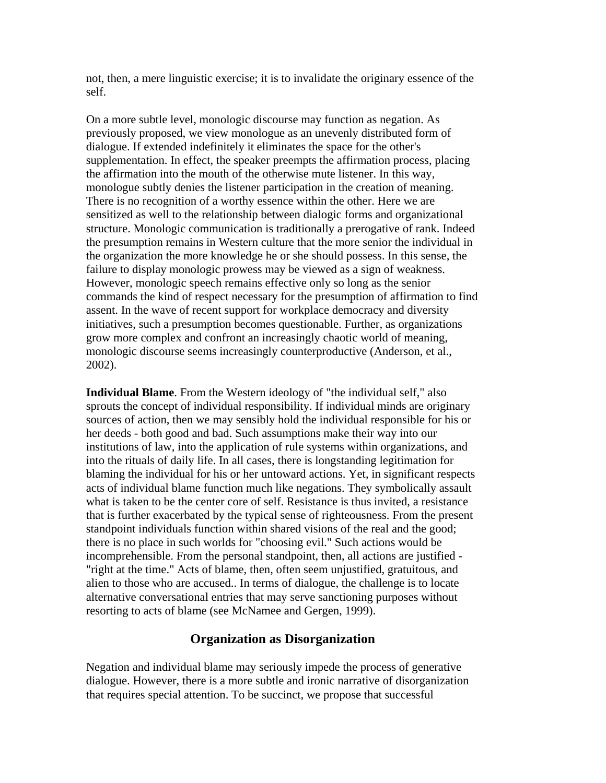not, then, a mere linguistic exercise; it is to invalidate the originary essence of the self.

On a more subtle level, monologic discourse may function as negation. As previously proposed, we view monologue as an unevenly distributed form of dialogue. If extended indefinitely it eliminates the space for the other's supplementation. In effect, the speaker preempts the affirmation process, placing the affirmation into the mouth of the otherwise mute listener. In this way, monologue subtly denies the listener participation in the creation of meaning. There is no recognition of a worthy essence within the other. Here we are sensitized as well to the relationship between dialogic forms and organizational structure. Monologic communication is traditionally a prerogative of rank. Indeed the presumption remains in Western culture that the more senior the individual in the organization the more knowledge he or she should possess. In this sense, the failure to display monologic prowess may be viewed as a sign of weakness. However, monologic speech remains effective only so long as the senior commands the kind of respect necessary for the presumption of affirmation to find assent. In the wave of recent support for workplace democracy and diversity initiatives, such a presumption becomes questionable. Further, as organizations grow more complex and confront an increasingly chaotic world of meaning, monologic discourse seems increasingly counterproductive (Anderson, et al., 2002).

**Individual Blame**. From the Western ideology of "the individual self," also sprouts the concept of individual responsibility. If individual minds are originary sources of action, then we may sensibly hold the individual responsible for his or her deeds - both good and bad. Such assumptions make their way into our institutions of law, into the application of rule systems within organizations, and into the rituals of daily life. In all cases, there is longstanding legitimation for blaming the individual for his or her untoward actions. Yet, in significant respects acts of individual blame function much like negations. They symbolically assault what is taken to be the center core of self. Resistance is thus invited, a resistance that is further exacerbated by the typical sense of righteousness. From the present standpoint individuals function within shared visions of the real and the good; there is no place in such worlds for "choosing evil." Such actions would be incomprehensible. From the personal standpoint, then, all actions are justified - "right at the time." Acts of blame, then, often seem unjustified, gratuitous, and alien to those who are accused.. In terms of dialogue, the challenge is to locate alternative conversational entries that may serve sanctioning purposes without resorting to acts of blame (see McNamee and Gergen, 1999).

## **Organization as Disorganization**

Negation and individual blame may seriously impede the process of generative dialogue. However, there is a more subtle and ironic narrative of disorganization that requires special attention. To be succinct, we propose that successful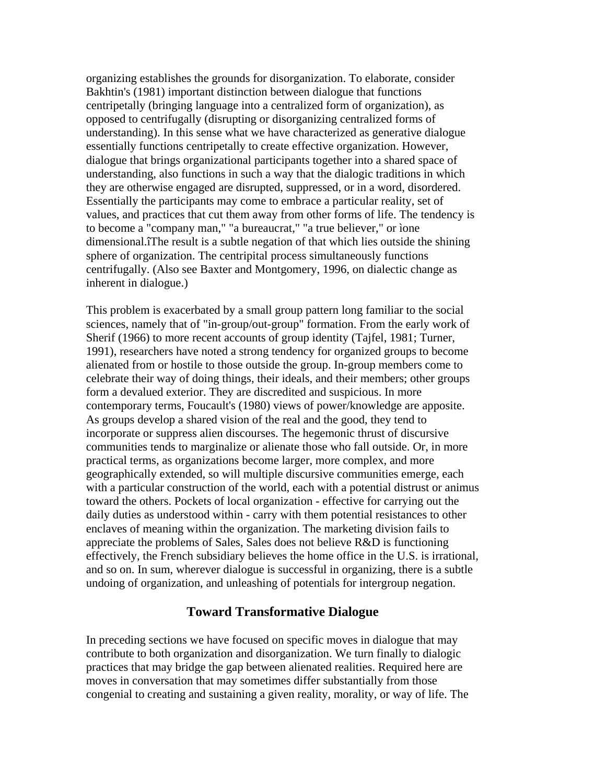organizing establishes the grounds for disorganization. To elaborate, consider Bakhtin's (1981) important distinction between dialogue that functions centripetally (bringing language into a centralized form of organization), as opposed to centrifugally (disrupting or disorganizing centralized forms of understanding). In this sense what we have characterized as generative dialogue essentially functions centripetally to create effective organization. However, dialogue that brings organizational participants together into a shared space of understanding, also functions in such a way that the dialogic traditions in which they are otherwise engaged are disrupted, suppressed, or in a word, disordered. Essentially the participants may come to embrace a particular reality, set of values, and practices that cut them away from other forms of life. The tendency is to become a "company man," "a bureaucrat," "a true believer," or ìone dimensional.îThe result is a subtle negation of that which lies outside the shining sphere of organization. The centripital process simultaneously functions centrifugally. (Also see Baxter and Montgomery, 1996, on dialectic change as inherent in dialogue.)

This problem is exacerbated by a small group pattern long familiar to the social sciences, namely that of "in-group/out-group" formation. From the early work of Sherif (1966) to more recent accounts of group identity (Tajfel, 1981; Turner, 1991), researchers have noted a strong tendency for organized groups to become alienated from or hostile to those outside the group. In-group members come to celebrate their way of doing things, their ideals, and their members; other groups form a devalued exterior. They are discredited and suspicious. In more contemporary terms, Foucault's (1980) views of power/knowledge are apposite. As groups develop a shared vision of the real and the good, they tend to incorporate or suppress alien discourses. The hegemonic thrust of discursive communities tends to marginalize or alienate those who fall outside. Or, in more practical terms, as organizations become larger, more complex, and more geographically extended, so will multiple discursive communities emerge, each with a particular construction of the world, each with a potential distrust or animus toward the others. Pockets of local organization - effective for carrying out the daily duties as understood within - carry with them potential resistances to other enclaves of meaning within the organization. The marketing division fails to appreciate the problems of Sales, Sales does not believe R&D is functioning effectively, the French subsidiary believes the home office in the U.S. is irrational, and so on. In sum, wherever dialogue is successful in organizing, there is a subtle undoing of organization, and unleashing of potentials for intergroup negation.

#### **Toward Transformative Dialogue**

In preceding sections we have focused on specific moves in dialogue that may contribute to both organization and disorganization. We turn finally to dialogic practices that may bridge the gap between alienated realities. Required here are moves in conversation that may sometimes differ substantially from those congenial to creating and sustaining a given reality, morality, or way of life. The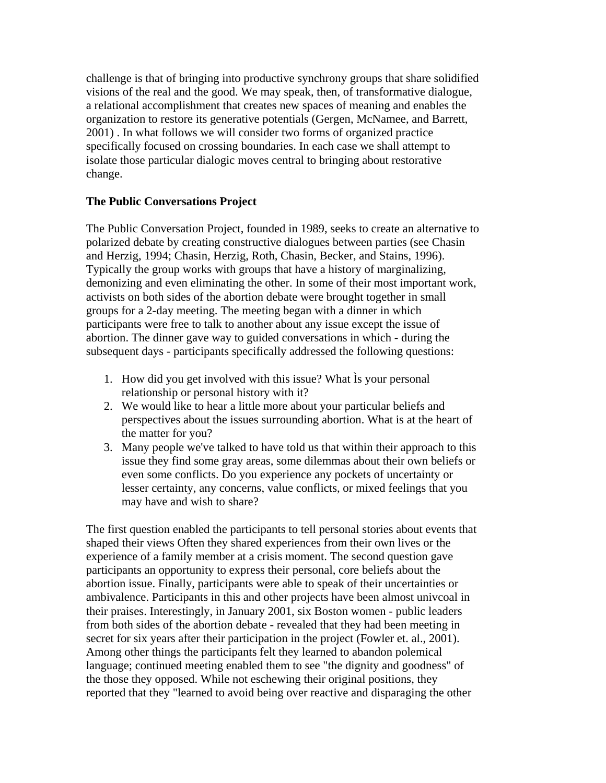challenge is that of bringing into productive synchrony groups that share solidified visions of the real and the good. We may speak, then, of transformative dialogue, a relational accomplishment that creates new spaces of meaning and enables the organization to restore its generative potentials (Gergen, McNamee, and Barrett, 2001) . In what follows we will consider two forms of organized practice specifically focused on crossing boundaries. In each case we shall attempt to isolate those particular dialogic moves central to bringing about restorative change.

# **The Public Conversations Project**

The Public Conversation Project, founded in 1989, seeks to create an alternative to polarized debate by creating constructive dialogues between parties (see Chasin and Herzig, 1994; Chasin, Herzig, Roth, Chasin, Becker, and Stains, 1996). Typically the group works with groups that have a history of marginalizing, demonizing and even eliminating the other. In some of their most important work, activists on both sides of the abortion debate were brought together in small groups for a 2-day meeting. The meeting began with a dinner in which participants were free to talk to another about any issue except the issue of abortion. The dinner gave way to guided conversations in which - during the subsequent days - participants specifically addressed the following questions:

- 1. How did you get involved with this issue? What Ìs your personal relationship or personal history with it?
- 2. We would like to hear a little more about your particular beliefs and perspectives about the issues surrounding abortion. What is at the heart of the matter for you?
- 3. Many people we've talked to have told us that within their approach to this issue they find some gray areas, some dilemmas about their own beliefs or even some conflicts. Do you experience any pockets of uncertainty or lesser certainty, any concerns, value conflicts, or mixed feelings that you may have and wish to share?

The first question enabled the participants to tell personal stories about events that shaped their views Often they shared experiences from their own lives or the experience of a family member at a crisis moment. The second question gave participants an opportunity to express their personal, core beliefs about the abortion issue. Finally, participants were able to speak of their uncertainties or ambivalence. Participants in this and other projects have been almost univcoal in their praises. Interestingly, in January 2001, six Boston women - public leaders from both sides of the abortion debate - revealed that they had been meeting in secret for six years after their participation in the project (Fowler et. al., 2001). Among other things the participants felt they learned to abandon polemical language; continued meeting enabled them to see "the dignity and goodness" of the those they opposed. While not eschewing their original positions, they reported that they "learned to avoid being over reactive and disparaging the other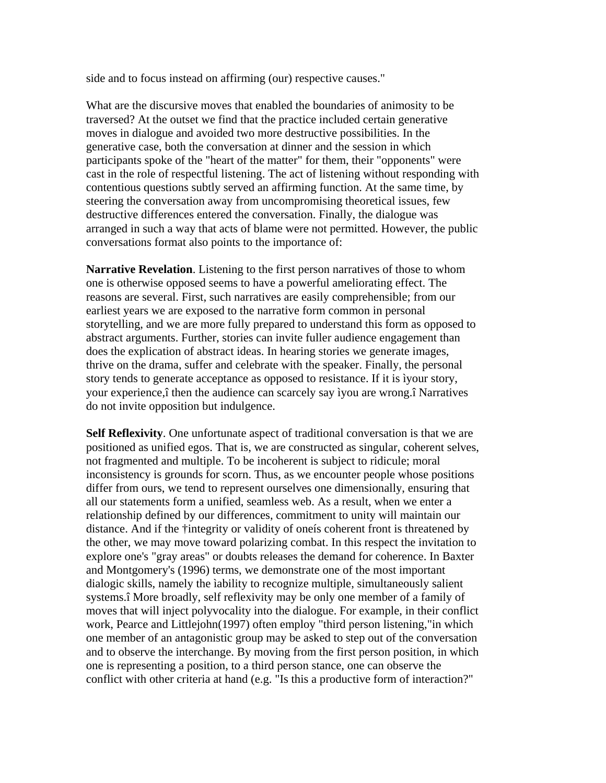side and to focus instead on affirming (our) respective causes."

What are the discursive moves that enabled the boundaries of animosity to be traversed? At the outset we find that the practice included certain generative moves in dialogue and avoided two more destructive possibilities. In the generative case, both the conversation at dinner and the session in which participants spoke of the "heart of the matter" for them, their "opponents" were cast in the role of respectful listening. The act of listening without responding with contentious questions subtly served an affirming function. At the same time, by steering the conversation away from uncompromising theoretical issues, few destructive differences entered the conversation. Finally, the dialogue was arranged in such a way that acts of blame were not permitted. However, the public conversations format also points to the importance of:

**Narrative Revelation**. Listening to the first person narratives of those to whom one is otherwise opposed seems to have a powerful ameliorating effect. The reasons are several. First, such narratives are easily comprehensible; from our earliest years we are exposed to the narrative form common in personal storytelling, and we are more fully prepared to understand this form as opposed to abstract arguments. Further, stories can invite fuller audience engagement than does the explication of abstract ideas. In hearing stories we generate images, thrive on the drama, suffer and celebrate with the speaker. Finally, the personal story tends to generate acceptance as opposed to resistance. If it is ìyour story, your experience,î then the audience can scarcely say ìyou are wrong.î Narratives do not invite opposition but indulgence.

**Self Reflexivity**. One unfortunate aspect of traditional conversation is that we are positioned as unified egos. That is, we are constructed as singular, coherent selves, not fragmented and multiple. To be incoherent is subject to ridicule; moral inconsistency is grounds for scorn. Thus, as we encounter people whose positions differ from ours, we tend to represent ourselves one dimensionally, ensuring that all our statements form a unified, seamless web. As a result, when we enter a relationship defined by our differences, commitment to unity will maintain our distance. And if the †integrity or validity of oneís coherent front is threatened by the other, we may move toward polarizing combat. In this respect the invitation to explore one's "gray areas" or doubts releases the demand for coherence. In Baxter and Montgomery's (1996) terms, we demonstrate one of the most important dialogic skills, namely the ìability to recognize multiple, simultaneously salient systems.î More broadly, self reflexivity may be only one member of a family of moves that will inject polyvocality into the dialogue. For example, in their conflict work, Pearce and Littlejohn(1997) often employ "third person listening,"in which one member of an antagonistic group may be asked to step out of the conversation and to observe the interchange. By moving from the first person position, in which one is representing a position, to a third person stance, one can observe the conflict with other criteria at hand (e.g. "Is this a productive form of interaction?"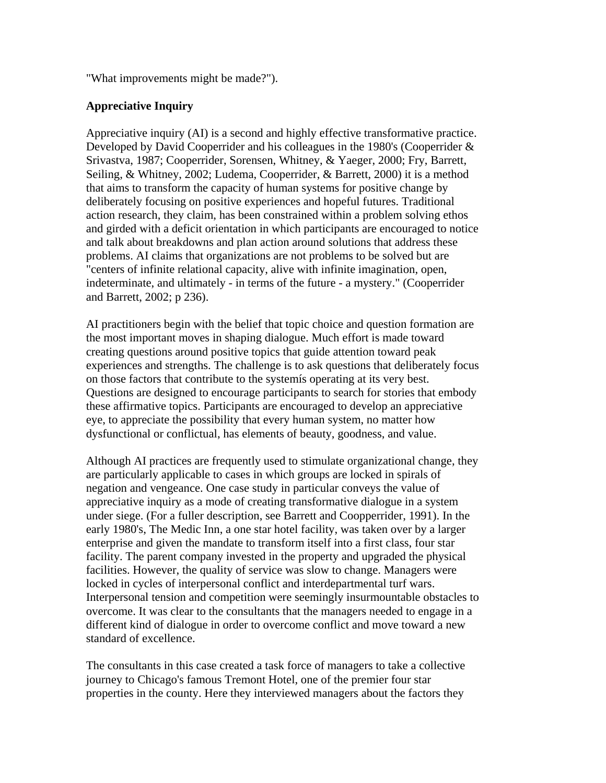"What improvements might be made?").

# **Appreciative Inquiry**

Appreciative inquiry (AI) is a second and highly effective transformative practice. Developed by David Cooperrider and his colleagues in the 1980's (Cooperrider & Srivastva, 1987; Cooperrider, Sorensen, Whitney, & Yaeger, 2000; Fry, Barrett, Seiling, & Whitney, 2002; Ludema, Cooperrider, & Barrett, 2000) it is a method that aims to transform the capacity of human systems for positive change by deliberately focusing on positive experiences and hopeful futures. Traditional action research, they claim, has been constrained within a problem solving ethos and girded with a deficit orientation in which participants are encouraged to notice and talk about breakdowns and plan action around solutions that address these problems. AI claims that organizations are not problems to be solved but are "centers of infinite relational capacity, alive with infinite imagination, open, indeterminate, and ultimately - in terms of the future - a mystery." (Cooperrider and Barrett, 2002; p 236).

AI practitioners begin with the belief that topic choice and question formation are the most important moves in shaping dialogue. Much effort is made toward creating questions around positive topics that guide attention toward peak experiences and strengths. The challenge is to ask questions that deliberately focus on those factors that contribute to the systemís operating at its very best. Questions are designed to encourage participants to search for stories that embody these affirmative topics. Participants are encouraged to develop an appreciative eye, to appreciate the possibility that every human system, no matter how dysfunctional or conflictual, has elements of beauty, goodness, and value.

Although AI practices are frequently used to stimulate organizational change, they are particularly applicable to cases in which groups are locked in spirals of negation and vengeance. One case study in particular conveys the value of appreciative inquiry as a mode of creating transformative dialogue in a system under siege. (For a fuller description, see Barrett and Coopperrider, 1991). In the early 1980's, The Medic Inn, a one star hotel facility, was taken over by a larger enterprise and given the mandate to transform itself into a first class, four star facility. The parent company invested in the property and upgraded the physical facilities. However, the quality of service was slow to change. Managers were locked in cycles of interpersonal conflict and interdepartmental turf wars. Interpersonal tension and competition were seemingly insurmountable obstacles to overcome. It was clear to the consultants that the managers needed to engage in a different kind of dialogue in order to overcome conflict and move toward a new standard of excellence.

The consultants in this case created a task force of managers to take a collective journey to Chicago's famous Tremont Hotel, one of the premier four star properties in the county. Here they interviewed managers about the factors they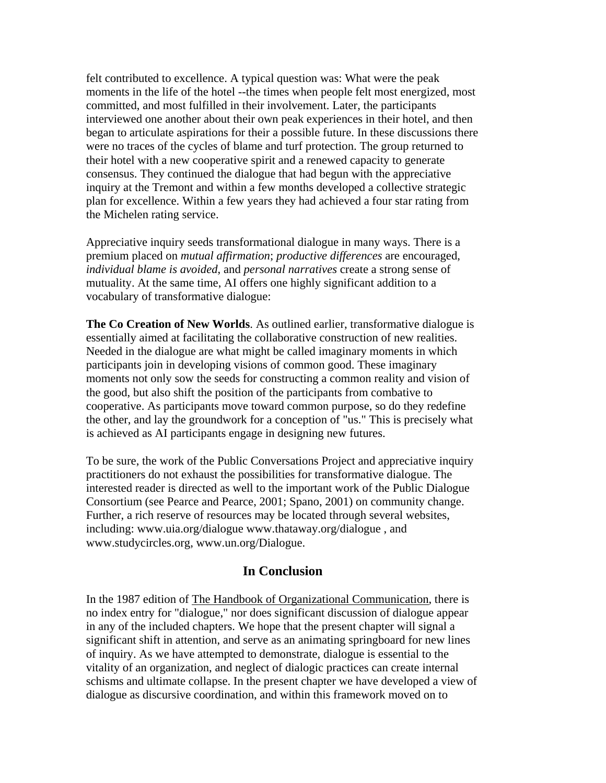felt contributed to excellence. A typical question was: What were the peak moments in the life of the hotel --the times when people felt most energized, most committed, and most fulfilled in their involvement. Later, the participants interviewed one another about their own peak experiences in their hotel, and then began to articulate aspirations for their a possible future. In these discussions there were no traces of the cycles of blame and turf protection. The group returned to their hotel with a new cooperative spirit and a renewed capacity to generate consensus. They continued the dialogue that had begun with the appreciative inquiry at the Tremont and within a few months developed a collective strategic plan for excellence. Within a few years they had achieved a four star rating from the Michelen rating service.

Appreciative inquiry seeds transformational dialogue in many ways. There is a premium placed on *mutual affirmation*; *productive differences* are encouraged, *individual blame is avoided*, and *personal narratives* create a strong sense of mutuality. At the same time, AI offers one highly significant addition to a vocabulary of transformative dialogue:

**The Co Creation of New Worlds**. As outlined earlier, transformative dialogue is essentially aimed at facilitating the collaborative construction of new realities. Needed in the dialogue are what might be called imaginary moments in which participants join in developing visions of common good. These imaginary moments not only sow the seeds for constructing a common reality and vision of the good, but also shift the position of the participants from combative to cooperative. As participants move toward common purpose, so do they redefine the other, and lay the groundwork for a conception of "us." This is precisely what is achieved as AI participants engage in designing new futures.

To be sure, the work of the Public Conversations Project and appreciative inquiry practitioners do not exhaust the possibilities for transformative dialogue. The interested reader is directed as well to the important work of the Public Dialogue Consortium (see Pearce and Pearce, 2001; Spano, 2001) on community change. Further, a rich reserve of resources may be located through several websites, including: www.uia.org/dialogue www.thataway.org/dialogue , and www.studycircles.org, www.un.org/Dialogue.

# **In Conclusion**

In the 1987 edition of The Handbook of Organizational Communication, there is no index entry for "dialogue," nor does significant discussion of dialogue appear in any of the included chapters. We hope that the present chapter will signal a significant shift in attention, and serve as an animating springboard for new lines of inquiry. As we have attempted to demonstrate, dialogue is essential to the vitality of an organization, and neglect of dialogic practices can create internal schisms and ultimate collapse. In the present chapter we have developed a view of dialogue as discursive coordination, and within this framework moved on to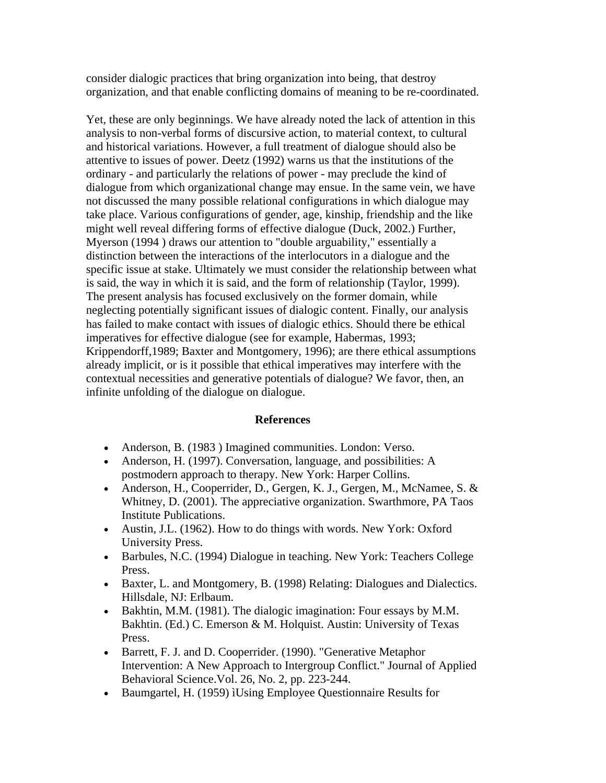consider dialogic practices that bring organization into being, that destroy organization, and that enable conflicting domains of meaning to be re-coordinated.

Yet, these are only beginnings. We have already noted the lack of attention in this analysis to non-verbal forms of discursive action, to material context, to cultural and historical variations. However, a full treatment of dialogue should also be attentive to issues of power. Deetz (1992) warns us that the institutions of the ordinary - and particularly the relations of power - may preclude the kind of dialogue from which organizational change may ensue. In the same vein, we have not discussed the many possible relational configurations in which dialogue may take place. Various configurations of gender, age, kinship, friendship and the like might well reveal differing forms of effective dialogue (Duck, 2002.) Further, Myerson (1994 ) draws our attention to "double arguability," essentially a distinction between the interactions of the interlocutors in a dialogue and the specific issue at stake. Ultimately we must consider the relationship between what is said, the way in which it is said, and the form of relationship (Taylor, 1999). The present analysis has focused exclusively on the former domain, while neglecting potentially significant issues of dialogic content. Finally, our analysis has failed to make contact with issues of dialogic ethics. Should there be ethical imperatives for effective dialogue (see for example, Habermas, 1993; Krippendorff,1989; Baxter and Montgomery, 1996); are there ethical assumptions already implicit, or is it possible that ethical imperatives may interfere with the contextual necessities and generative potentials of dialogue? We favor, then, an infinite unfolding of the dialogue on dialogue.

## **References**

- Anderson, B. (1983) Imagined communities. London: Verso.
- Anderson, H. (1997). Conversation, language, and possibilities: A postmodern approach to therapy. New York: Harper Collins.
- Anderson, H., Cooperrider, D., Gergen, K. J., Gergen, M., McNamee, S. & Whitney, D. (2001). The appreciative organization. Swarthmore, PA Taos Institute Publications.
- Austin, J.L. (1962). How to do things with words. New York: Oxford University Press.
- Barbules, N.C. (1994) Dialogue in teaching. New York: Teachers College Press.
- Baxter, L. and Montgomery, B. (1998) Relating: Dialogues and Dialectics. Hillsdale, NJ: Erlbaum.
- Bakhtin, M.M. (1981). The dialogic imagination: Four essays by M.M. Bakhtin. (Ed.) C. Emerson & M. Holquist. Austin: University of Texas Press.
- Barrett, F. J. and D. Cooperrider. (1990). "Generative Metaphor Intervention: A New Approach to Intergroup Conflict." Journal of Applied Behavioral Science.Vol. 26, No. 2, pp. 223-244.
- Baumgartel, H. (1959) ìUsing Employee Questionnaire Results for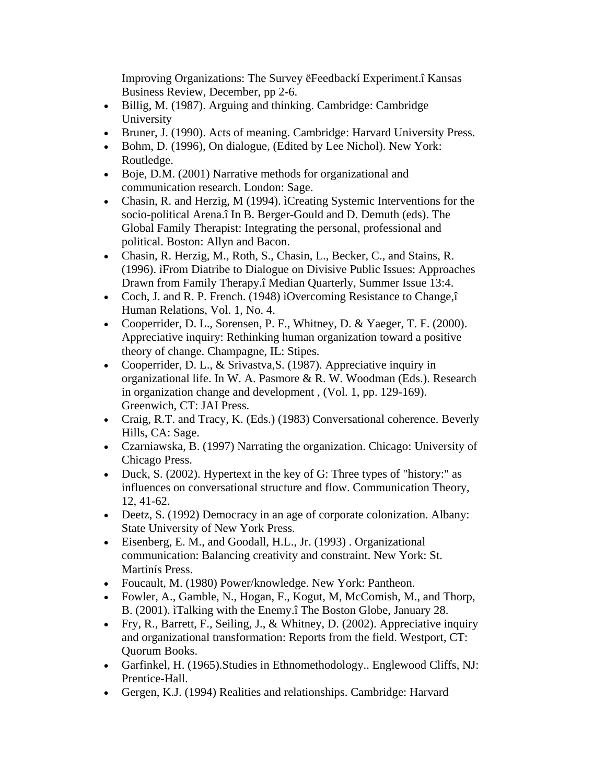Improving Organizations: The Survey ëFeedbackí Experiment.î Kansas Business Review, December, pp 2-6.

- Billig, M. (1987). Arguing and thinking. Cambridge: Cambridge University
- Bruner, J. (1990). Acts of meaning. Cambridge: Harvard University Press.
- Bohm, D. (1996), On dialogue, (Edited by Lee Nichol). New York: Routledge.
- Boje, D.M. (2001) Narrative methods for organizational and communication research. London: Sage.
- Chasin, R. and Herzig, M (1994). *i*Creating Systemic Interventions for the socio-political Arena.î In B. Berger-Gould and D. Demuth (eds). The Global Family Therapist: Integrating the personal, professional and political. Boston: Allyn and Bacon.
- Chasin, R. Herzig, M., Roth, S., Chasin, L., Becker, C., and Stains, R. (1996). ìFrom Diatribe to Dialogue on Divisive Public Issues: Approaches Drawn from Family Therapy.î Median Quarterly, Summer Issue 13:4.
- Coch, J. and R. P. French. (1948) ìOvercoming Resistance to Change, î Human Relations, Vol. 1, No. 4.
- Cooperrider, D. L., Sorensen, P. F., Whitney, D. & Yaeger, T. F. (2000). Appreciative inquiry: Rethinking human organization toward a positive theory of change. Champagne, IL: Stipes.
- Cooperrider, D. L., & Srivastva, S. (1987). Appreciative inquiry in organizational life. In W. A. Pasmore & R. W. Woodman (Eds.). Research in organization change and development , (Vol. 1, pp. 129-169). Greenwich, CT: JAI Press.
- Craig, R.T. and Tracy, K. (Eds.) (1983) Conversational coherence. Beverly Hills, CA: Sage.
- Czarniawska, B. (1997) Narrating the organization. Chicago: University of Chicago Press.
- Duck, S. (2002). Hypertext in the key of G: Three types of "history:" as influences on conversational structure and flow. Communication Theory, 12, 41-62.
- Deetz, S. (1992) Democracy in an age of corporate colonization. Albany: State University of New York Press.
- Eisenberg, E. M., and Goodall, H.L., Jr. (1993) . Organizational communication: Balancing creativity and constraint. New York: St. Martinís Press.
- Foucault, M. (1980) Power/knowledge. New York: Pantheon.
- Fowler, A., Gamble, N., Hogan, F., Kogut, M, McComish, M., and Thorp, B. (2001). ìTalking with the Enemy.î The Boston Globe, January 28.
- Fry, R., Barrett, F., Seiling, J., & Whitney, D. (2002). Appreciative inquiry and organizational transformation: Reports from the field. Westport, CT: Quorum Books.
- Garfinkel, H. (1965).Studies in Ethnomethodology.. Englewood Cliffs, NJ: Prentice-Hall.
- Gergen, K.J. (1994) Realities and relationships. Cambridge: Harvard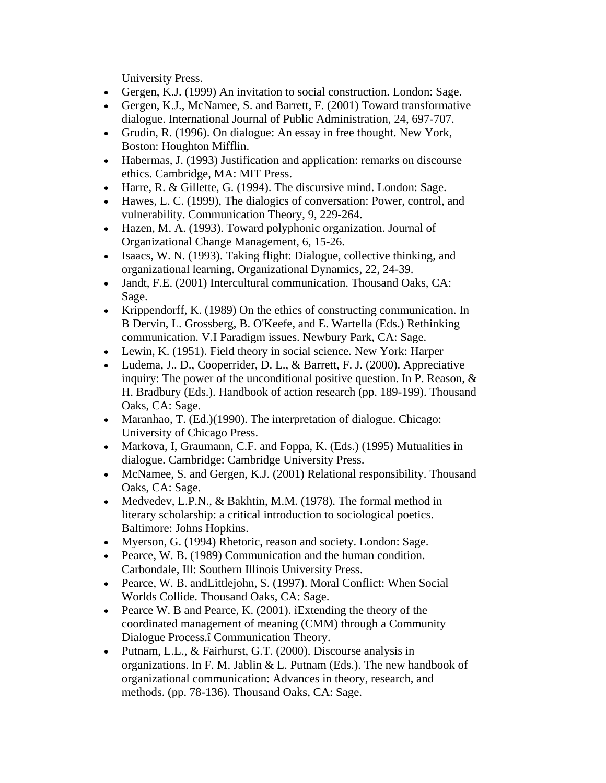University Press.

- Gergen, K.J. (1999) An invitation to social construction. London: Sage.
- Gergen, K.J., McNamee, S. and Barrett, F. (2001) Toward transformative dialogue. International Journal of Public Administration, 24, 697-707.
- Grudin, R. (1996). On dialogue: An essay in free thought. New York, Boston: Houghton Mifflin.
- Habermas, J. (1993) Justification and application: remarks on discourse ethics. Cambridge, MA: MIT Press.
- Harre, R. & Gillette, G. (1994). The discursive mind. London: Sage.
- Hawes, L. C. (1999), The dialogics of conversation: Power, control, and vulnerability. Communication Theory, 9, 229-264.
- Hazen, M. A. (1993). Toward polyphonic organization. Journal of Organizational Change Management, 6, 15-26.
- Isaacs, W. N. (1993). Taking flight: Dialogue, collective thinking, and organizational learning. Organizational Dynamics, 22, 24-39.
- Jandt, F.E. (2001) Intercultural communication. Thousand Oaks, CA: Sage.
- Krippendorff, K. (1989) On the ethics of constructing communication. In B Dervin, L. Grossberg, B. O'Keefe, and E. Wartella (Eds.) Rethinking communication. V.I Paradigm issues. Newbury Park, CA: Sage.
- Lewin, K. (1951). Field theory in social science. New York: Harper
- Ludema, J.. D., Cooperrider, D. L., & Barrett, F. J. (2000). Appreciative inquiry: The power of the unconditional positive question. In P. Reason, & H. Bradbury (Eds.). Handbook of action research (pp. 189-199). Thousand Oaks, CA: Sage.
- Maranhao, T. (Ed.)(1990). The interpretation of dialogue. Chicago: University of Chicago Press.
- Markova, I, Graumann, C.F. and Foppa, K. (Eds.) (1995) Mutualities in dialogue. Cambridge: Cambridge University Press.
- McNamee, S. and Gergen, K.J. (2001) Relational responsibility. Thousand Oaks, CA: Sage.
- Medvedev, L.P.N., & Bakhtin, M.M. (1978). The formal method in literary scholarship: a critical introduction to sociological poetics. Baltimore: Johns Hopkins.
- Myerson, G. (1994) Rhetoric, reason and society. London: Sage.
- Pearce, W. B. (1989) Communication and the human condition. Carbondale, Ill: Southern Illinois University Press.
- Pearce, W. B. andLittlejohn, S. (1997). Moral Conflict: When Social Worlds Collide. Thousand Oaks, CA: Sage.
- Pearce W. B and Pearce, K. (2001). *i*Extending the theory of the coordinated management of meaning (CMM) through a Community Dialogue Process.î Communication Theory.
- Putnam, L.L., & Fairhurst, G.T. (2000). Discourse analysis in organizations. In F. M. Jablin & L. Putnam (Eds.). The new handbook of organizational communication: Advances in theory, research, and methods. (pp. 78-136). Thousand Oaks, CA: Sage.